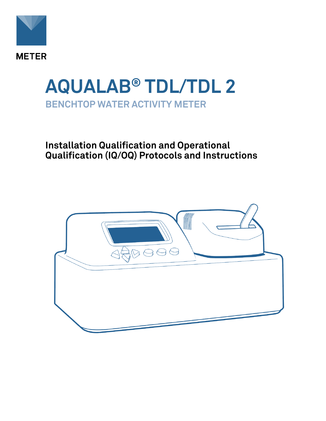

# **AQUALAB® TDL/TDL 2 BENCHTOP WATER ACTIVITY METER**

### **Installation Qualification and Operational Qualification (IQ/OQ) Protocols and Instructions**

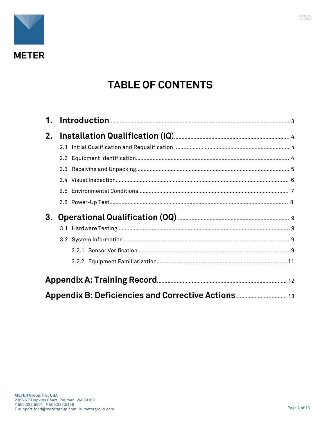

## **TABLE OF CONTENTS**

| 2. |  |
|----|--|
|    |  |
|    |  |
|    |  |
|    |  |
|    |  |
|    |  |
| 3. |  |
|    |  |
|    |  |
|    |  |
|    |  |
|    |  |
|    |  |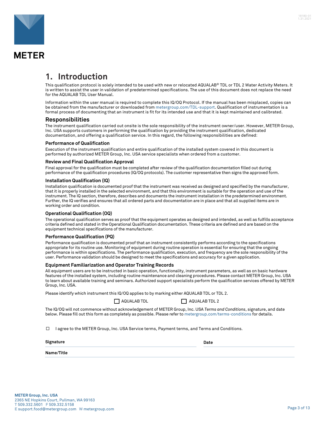<span id="page-2-0"></span>

**METER** 

### **1. Introduction**

This qualification protocol is solely intended to be used with new or relocated AQUALAB® TDL or TDL 2 Water Activity Meters. It is written to assist the user in validation of predetermined specifications. The use of this document does not replace the need for the AQUALAB TDL User Manual.

Information within the user manual is required to complete this IQ/OQ Protocol. If the manual has been misplaced, copies can be obtained from the manufacturer or downloaded from [metergroup.com/TDL-support.](https://www.metergroup.com/TDL-support) Qualification of instrumentation is a formal process of documenting that an instrument is fit for its intended use and that it is kept maintained and calibrated.

#### **Responsibilities**

The instrument qualification carried out onsite is the sole responsibility of the instrument owner/user. However, METER Group, Inc. USA supports customers in performing the qualification by providing the instrument qualification, dedicated documentation, and offering a qualification service. In this regard, the following responsibilities are defined:

#### **Performance of Qualification**

Execution of the instrument qualification and entire qualification of the installed system covered in this document is performed by authorized METER Group, Inc. USA service specialists when ordered from a customer.

#### **Review and Final Qualification Approval**

Final approval for the qualification must be completed after review of the qualification documentation filled out during performance of the qualification procedures (IQ/OQ protocols). The customer representative then signs the approved form.

#### **Installation Qualification (IQ)**

Installation qualification is documented proof that the instrument was received as designed and specified by the manufacturer, that it is properly installed in the selected environment, and that this environment is suitable for the operation and use of the instrument. The IQ section, therefore, describes and documents the instrument installation in the predetermined environment. Further, the IQ verifies and ensures that all ordered parts and documentation are in place and that all supplied items are in working order and condition.

#### **Operational Qualification (OQ)**

The operational qualification serves as proof that the equipment operates as designed and intended, as well as fulfills acceptance criteria defined and stated in the Operational Qualification documentation. These criteria are defined and are based on the equipment technical specifications of the manufacturer.

#### **Performance Qualification (PQ)**

Performance qualification is documented proof that an instrument consistently performs according to the specifications appropriate for its routine use. Monitoring of equipment during routine operation is essential for ensuring that the ongoing performance is within specifications. The performance qualification, execution, and frequency are the sole responsibility of the user. Performance validation should be designed to meet the specifications and accuracy for a given application.

#### **Equipment Familiarization and Operator Training Records**

All equipment users are to be instructed in basic operation, functionality, instrument parameters, as well as on basic hardware features of the installed system, including routine maintenance and cleaning procedures. Please contact METER Group, Inc. USA to learn about available training and seminars. Authorized support specialists perform the qualification services offered by METER Group, Inc. USA.

Please identify which instrument this IQ/OQ applies to by marking either AQUALAB TDL or TDL 2.

|  | T AQUALAB TI |  |
|--|--------------|--|
|--|--------------|--|

 $\Box$  AQUALAB TDL 2

The IQ/OQ will not commence without acknowledgement of METER Group, Inc. USA *Terms and Conditions*, signature, and date below. Please fill out this form as completely as possible. Please refer to [metergroup.com/terms-conditions](https://www.metergroup.com/terms-conditions) for details.

 $\Box$  I agree to the METER Group, Inc. USA Service terms, Payment terms, and Terms and Conditions.

**Signature Date** 

**Name/Title**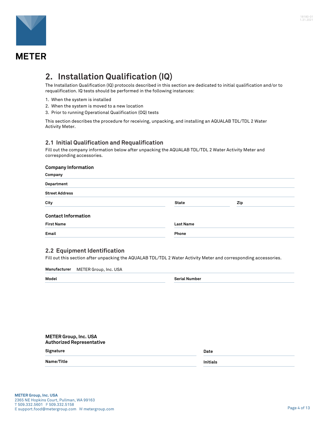<span id="page-3-0"></span>

### **METER**

### **2. Installation Qualification (IQ)**

The Installation Qualification (IQ) protocols described in this section are dedicated to initial qualification and/or to requalification. IQ tests should be performed in the following instances:

- 1. When the system is installed
- 2. When the system is moved to a new location
- 3. Prior to running Operational Qualification (OQ) tests

This section describes the procedure for receiving, unpacking, and installing an AQUALAB TDL/TDL 2 Water Activity Meter.

#### **2.1 Initial Qualification and Requalification**

Fill out the company information below after unpacking the AQUALAB TDL/TDL 2 Water Activity Meter and corresponding accessories.

#### **Company Information**

| Company                    |                  |     |  |
|----------------------------|------------------|-----|--|
| Department                 |                  |     |  |
| <b>Street Address</b>      |                  |     |  |
| City                       | <b>State</b>     | Zip |  |
| <b>Contact Information</b> |                  |     |  |
| <b>First Name</b>          | <b>Last Name</b> |     |  |
| Email                      | Phone            |     |  |

#### **2.2 Equipment Identification**

Fill out this section after unpacking the AQUALAB TDL/TDL 2 Water Activity Meter and corresponding accessories.

**Manufacturer** METER Group, Inc. USA

**METER Group, Inc. USA**

**Model Serial Number**

| <b>METER Group, Inc. USA</b><br><b>Authorized Representative</b> |                 |
|------------------------------------------------------------------|-----------------|
| Signature                                                        | Date            |
| Name/Title                                                       | <b>Initials</b> |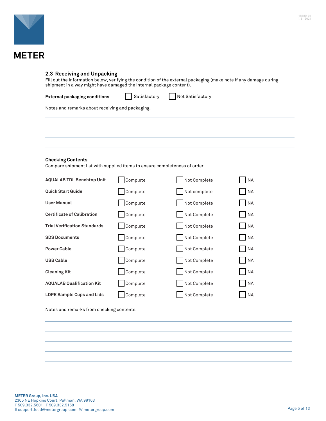<span id="page-4-0"></span>

#### **2.3 Receiving and Unpacking**

Fill out the information below, verifying the condition of the external packaging (make note if any damage during shipment in a way might have damaged the internal package content).

| External packaging conditions |  | Satisfactory |  | Not Satisfactory |
|-------------------------------|--|--------------|--|------------------|
|-------------------------------|--|--------------|--|------------------|

Notes and remarks about receiving and packaging.

#### **Checking Contents**

Compare shipment list with supplied items to ensure completeness of order.

| <b>AQUALAB TDL Benchtop Unit</b>    | Complete | Not Complete | <b>NA</b> |
|-------------------------------------|----------|--------------|-----------|
| <b>Quick Start Guide</b>            | Complete | Not complete | <b>NA</b> |
| <b>User Manual</b>                  | Complete | Not Complete | <b>NA</b> |
| <b>Certificate of Calibration</b>   | Complete | Not Complete | <b>NA</b> |
| <b>Trial Verification Standards</b> | Complete | Not Complete | <b>NA</b> |
| <b>SDS Documents</b>                | Complete | Not Complete | <b>NA</b> |
| <b>Power Cable</b>                  | Complete | Not Complete | <b>NA</b> |
| <b>USB Cable</b>                    | Complete | Not Complete | <b>NA</b> |
| <b>Cleaning Kit</b>                 | Complete | Not Complete | <b>NA</b> |
| <b>AQUALAB Qualification Kit</b>    | Complete | Not Complete | <b>NA</b> |
| <b>LDPE Sample Cups and Lids</b>    | Complete | Not Complete | <b>NA</b> |

Notes and remarks from checking contents.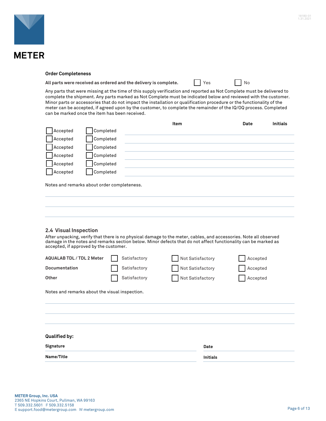<span id="page-5-0"></span>

#### **Order Completeness**

All parts were received as ordered and the delivery is complete. **The analysis of the UP** No

Any parts that were missing at the time of this supply verification and reported as Not Complete must be delivered to complete the shipment. Any parts marked as Not Complete must be indicated below and reviewed with the customer. Minor parts or accessories that do not impact the installation or qualification procedure or the functionality of the meter can be accepted, if agreed upon by the customer, to complete the remainder of the IQ/OQ process. Completed can be marked once the item has been received.

|          |           | Item | Date | <b>Initials</b> |
|----------|-----------|------|------|-----------------|
| Accepted | Completed |      |      |                 |
| Accepted | Completed |      |      |                 |
| Accepted | Completed |      |      |                 |
| Accepted | Completed |      |      |                 |
| Accepted | Completed |      |      |                 |
| Accepted | Completed |      |      |                 |
|          |           |      |      |                 |

Notes and remarks about order completeness.

#### **2.4 Visual Inspection**

After unpacking, verify that there is no physical damage to the meter, cables, and accessories. Note all observed damage in the notes and remarks section below. Minor defects that do not affect functionality can be marked as accepted, if approved by the customer.

| <b>AQUALAB TDL / TDL 2 Meter</b><br><b>Documentation</b> |  | Satisfactory<br>Satisfactory | Not Satisfactory<br>Not Satisfactory |                 | Accepted<br>Accepted |
|----------------------------------------------------------|--|------------------------------|--------------------------------------|-----------------|----------------------|
| Other                                                    |  | Satisfactory                 | Not Satisfactory                     |                 | Accepted             |
| Notes and remarks about the visual inspection.           |  |                              |                                      |                 |                      |
|                                                          |  |                              |                                      |                 |                      |
|                                                          |  |                              |                                      |                 |                      |
| <b>Qualified by:</b>                                     |  |                              |                                      |                 |                      |
| Signature                                                |  |                              |                                      | Date            |                      |
| Name/Title                                               |  |                              |                                      | <b>Initials</b> |                      |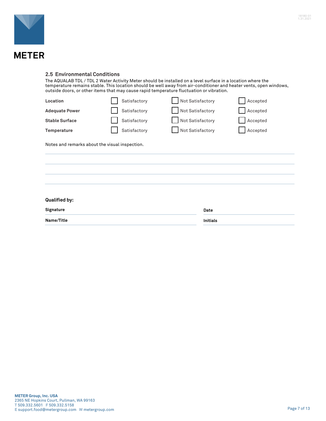<span id="page-6-0"></span>

The AQUALAB TDL / TDL 2 Water Activity Meter should be installed on a level surface in a location where the temperature remains stable. This location should be well away from air-conditioner and heater vents, open windows, outside doors, or other items that may cause rapid temperature fluctuation or vibration.

| Location              | Satisfactory | Not Satisfactory | Accepted |
|-----------------------|--------------|------------------|----------|
| <b>Adequate Power</b> | Satisfactory | Not Satisfactory | Accepted |
| <b>Stable Surface</b> | Satisfactory | Not Satisfactory | Accepted |
| Temperature           | Satisfactory | Not Satisfactory | Accepted |

Notes and remarks about the visual inspection.

#### **Qualified by:**

**Signature** Date

**Name/Title Initials** 

| е   |  |  |  |
|-----|--|--|--|
| als |  |  |  |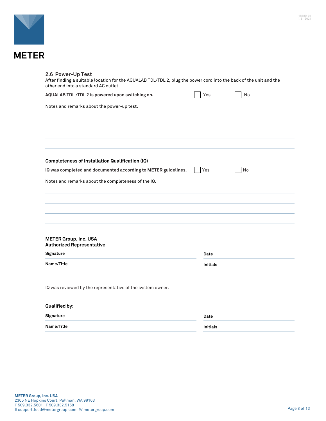<span id="page-7-0"></span>

# **METER**

| 2.6 Power-Up Test<br>After finding a suitable location for the AQUALAB TDL/TDL 2, plug the power cord into the back of the unit and the<br>other end into a standard AC outlet. |                 |    |  |
|---------------------------------------------------------------------------------------------------------------------------------------------------------------------------------|-----------------|----|--|
| AQUALAB TDL /TDL 2 is powered upon switching on.                                                                                                                                | Yes             | No |  |
| Notes and remarks about the power-up test.                                                                                                                                      |                 |    |  |
|                                                                                                                                                                                 |                 |    |  |
| <b>Completeness of Installation Qualification (IQ)</b>                                                                                                                          |                 |    |  |
| IQ was completed and documented according to METER guidelines.                                                                                                                  | Yes             | No |  |
| Notes and remarks about the completeness of the IQ.                                                                                                                             |                 |    |  |
|                                                                                                                                                                                 |                 |    |  |
| <b>METER Group, Inc. USA</b><br><b>Authorized Representative</b>                                                                                                                |                 |    |  |
| Signature                                                                                                                                                                       | Date            |    |  |
| Name/Title                                                                                                                                                                      | <b>Initials</b> |    |  |
| IQ was reviewed by the representative of the system owner.                                                                                                                      |                 |    |  |
| <b>Qualified by:</b>                                                                                                                                                            |                 |    |  |
| Signature                                                                                                                                                                       | Date            |    |  |
| Name/Title                                                                                                                                                                      | <b>Initials</b> |    |  |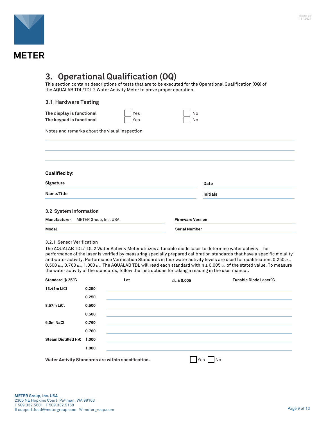<span id="page-8-0"></span>

### **3. Operational Qualification (OQ)**

This section contains descriptions of tests that are to be executed for the Operational Qualification (OQ) of the AQUALAB TDL/TDL 2 Water Activity Meter to prove proper operation.

#### **3.1 Hardware Testing**

| The display is functional | <b>T</b> Yes | N <sub>0</sub> |
|---------------------------|--------------|----------------|
| The keypad is functional  | $\Box$ Yes   | $\Box$ No      |

Notes and remarks about the visual inspection.

| <b>Qualified by:</b>                  |                         |  |
|---------------------------------------|-------------------------|--|
| Signature                             | Date                    |  |
| Name/Title                            | <b>Initials</b>         |  |
| 3.2 System Information                |                         |  |
| Manufacturer<br>METER Group, Inc. USA | <b>Firmware Version</b> |  |
| Model                                 | <b>Serial Number</b>    |  |

#### **3.2.1 Sensor Verification**

The AQUALAB TDL/TDL 2 Water Activity Meter utilizes a tunable diode laser to determine water activity. The performance of the laser is verified by measuring specially prepared calibration standards that have a specific molality and water activity. Performance Verification Standards in four water activity levels are used for qualification: 0.250 *aw*, 0.500 *aw*, 0.760 *aw*, 1.000 *aw*. The AQUALAB TDL will read each standard within ± 0.005 *a<sup>w</sup>* of the stated value. To measure the water activity of the standards, follow the instructions for taking a reading in the user manual.

| Standard @ 25 °C                       |       | Lot                                                | $a_w \pm 0.005$                                                                  | Tunable Diode Laser °C |
|----------------------------------------|-------|----------------------------------------------------|----------------------------------------------------------------------------------|------------------------|
| 13.41m LiCl                            | 0.250 |                                                    |                                                                                  |                        |
|                                        | 0.250 |                                                    | ,我们也不能在这里的时候,我们也不能在这里的时候,我们也不能会在这里的时候,我们也不能会在这里的时候,我们也不能会在这里的时候,我们也不能会在这里的时候,我们也 |                        |
| 8.57m LiCl                             | 0.500 |                                                    | ,我们也不能在这里的时候,我们也不能在这里的时候,我们也不能会在这里的时候,我们也不能会在这里的时候,我们也不能会在这里的时候,我们也不能会在这里的时候,我们也 |                        |
|                                        | 0.500 |                                                    |                                                                                  |                        |
| 6.0m NaCl                              | 0.760 |                                                    |                                                                                  |                        |
|                                        | 0.760 |                                                    |                                                                                  |                        |
| Steam Distilled H <sub>2</sub> 0 1.000 |       |                                                    |                                                                                  |                        |
|                                        | 1.000 |                                                    |                                                                                  |                        |
|                                        |       | Water Activity Standards are within specification. | Yes                                                                              | <b>No</b>              |

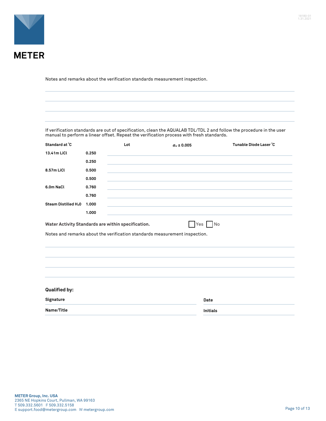

Notes and remarks about the verification standards measurement inspection.

If verification standards are out of specification, clean the AQUALAB TDL/TDL 2 and follow the procedure in the user manual to perform a linear offset. Repeat the verification process with fresh standards.

| Standard at °C                   |       | Lot                                                | $a_w \pm 0.005$                                                                      | Tunable Diode Laser °C |
|----------------------------------|-------|----------------------------------------------------|--------------------------------------------------------------------------------------|------------------------|
| 13.41m LiCl                      | 0.250 |                                                    |                                                                                      |                        |
|                                  | 0.250 |                                                    |                                                                                      |                        |
| 8.57m LiCl                       | 0.500 |                                                    |                                                                                      |                        |
|                                  | 0.500 |                                                    |                                                                                      |                        |
| 6.0m NaCl                        | 0.760 |                                                    |                                                                                      |                        |
|                                  | 0.760 |                                                    |                                                                                      |                        |
| Steam Distilled H <sub>2</sub> 0 | 1.000 |                                                    |                                                                                      |                        |
|                                  | 1.000 |                                                    |                                                                                      |                        |
|                                  |       | Water Activity Standards are within specification. | Yes No<br>Notes and remarks about the verification standards measurement inspection. |                        |
|                                  |       |                                                    |                                                                                      |                        |
| <b>Qualified by:</b>             |       |                                                    |                                                                                      |                        |
| Signature                        |       |                                                    | Date                                                                                 |                        |
| Name/Title                       |       |                                                    | <b>Initials</b>                                                                      |                        |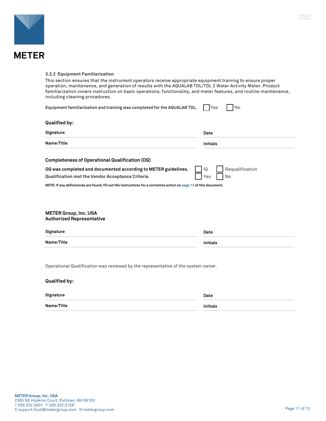<span id="page-10-0"></span>

#### **3.2.2 Equipment Familiarization**

This section ensures that the instrument operators receive appropriate equipment training to ensure proper operation, maintenance, and generation of results with the AQUALAB TDL/TDL 2 Water Activity Meter. Product familiarization covers instruction on basic operations, functionality, and meter features, and routine maintenance, including cleaning procedures.

| Equipment familiarization and training was completed for the AQUALAB TDL.                                           | Yes<br>No             |
|---------------------------------------------------------------------------------------------------------------------|-----------------------|
| <b>Qualified by:</b>                                                                                                |                       |
| Signature                                                                                                           | Date                  |
| Name/Title                                                                                                          | <b>Initials</b>       |
| Completeness of Operational Qualification (OQ)                                                                      |                       |
| OQ was completed and documented according to METER guidelines.                                                      | Requalification<br>IQ |
| Qualification met the Vendor Acceptance Criteria                                                                    | No<br>Yes             |
| NOTE: If any deficiencies are found, fill out the instructions for a corrective action on page 13 of this document. |                       |
|                                                                                                                     |                       |
| <b>METER Group, Inc. USA</b><br><b>Authorized Representative</b>                                                    |                       |
| Signature                                                                                                           | Date                  |
| Name/Title                                                                                                          | <b>Initials</b>       |

Operational Qualification was reviewed by the representative of the system owner.

| <b>Qualified by:</b> |          |
|----------------------|----------|
| Signature            | Date     |
| Name/Title           | Initials |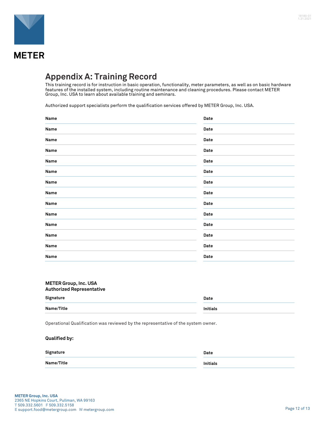<span id="page-11-0"></span>

### **Appendix A: Training Record**

This training record is for instruction in basic operation, functionality, meter parameters, as well as on basic hardware features of the installed system, including routine maintenance and cleaning procedures. Please contact METER Group, Inc. USA to learn about available training and seminars.

Authorized support specialists perform the qualification services offered by METER Group, Inc. USA.

| Name | Date |
|------|------|
| Name | Date |
| Name | Date |
| Name | Date |
| Name | Date |
| Name | Date |
| Name | Date |
| Name | Date |
| Name | Date |
| Name | Date |
| Name | Date |
| Name | Date |
| Name | Date |
| Name | Date |

### **METER Group, Inc. USA Authorized Representative Signature** Date **Name/Title Initials**

Operational Qualification was reviewed by the representative of the system owner.

| Date     |
|----------|
| Initials |
|          |

**Qualified by:**